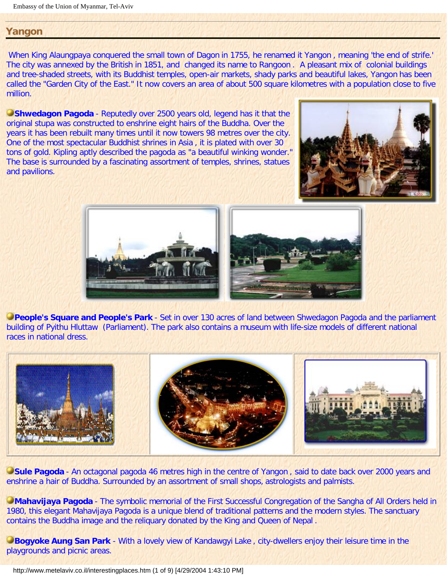## **Yangon**

When King Alaungpaya conquered the small town of Dagon in 1755, he renamed it Yangon , meaning 'the end of strife.' The city was annexed by the British in 1851, and changed its name to Rangoon . A pleasant mix of colonial buildings and tree-shaded streets, with its Buddhist temples, open-air markets, shady parks and beautiful lakes, Yangon has been called the "Garden City of the East." It now covers an area of about 500 square kilometres with a population close to five million.

**Shwedagon Pagoda** - Reputedly over 2500 years old, legend has it that the original stupa was constructed to enshrine eight hairs of the Buddha. Over the years it has been rebuilt many times until it now towers 98 metres over the city. One of the most spectacular Buddhist shrines in Asia , it is plated with over 30 tons of gold. Kipling aptly described the pagoda as "a beautiful winking wonder." The base is surrounded by a fascinating assortment of temples, shrines, statues and pavilions.







**People's Square and People's Park** - Set in over 130 acres of land between Shwedagon Pagoda and the parliament building of Pyithu Hluttaw (Parliament). The park also contains a museum with life-size models of different national races in national dress.



**Sule Pagoda** - An octagonal pagoda 46 metres high in the centre of Yangon, said to date back over 2000 years and enshrine a hair of Buddha. Surrounded by an assortment of small shops, astrologists and palmists.

**Mahavijaya Pagoda** - The symbolic memorial of the First Successful Congregation of the Sangha of All Orders held in 1980, this elegant Mahavijaya Pagoda is a unique blend of traditional patterns and the modern styles. The sanctuary contains the Buddha image and the reliquary donated by the King and Queen of Nepal .

**Bogyoke Aung San Park** - With a lovely view of Kandawgyi Lake, city-dwellers enjoy their leisure time in the playgrounds and picnic areas.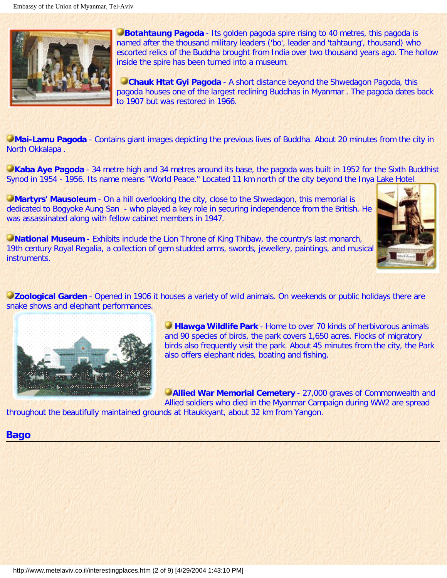

**Botahtaung Pagoda** - Its golden pagoda spire rising to 40 metres, this pagoda is named after the thousand military leaders ('bo', leader and 'tahtaung', thousand) who escorted relics of the Buddha brought from India over two thousand years ago. The hollow inside the spire has been turned into a museum.

**Chauk Htat Gyi Pagoda** - A short distance beyond the Shwedagon Pagoda, this pagoda houses one of the largest reclining Buddhas in Myanmar . The pagoda dates back to 1907 but was restored in 1966.

**Mai-Lamu Pagoda** - Contains giant images depicting the previous lives of Buddha. About 20 minutes from the city in North Okkalapa .

**Kaba Aye Pagoda** - 34 metre high and 34 metres around its base, the pagoda was built in 1952 for the Sixth Buddhist Synod in 1954 - 1956. Its name means "World Peace." Located 11 km north of the city beyond the Inya Lake Hotel.

**Martyrs' Mausoleum** - On a hill overlooking the city, close to the Shwedagon, this memorial is dedicated to Bogyoke Aung San - who played a key role in securing independence from the British. He was assassinated along with fellow cabinet members in 1947.

**National Museum** - Exhibits include the Lion Throne of King Thibaw, the country's last monarch, 19th century Royal Regalia, a collection of gem studded arms, swords, jewellery, paintings, and musical instruments.



**Zoological Garden** - Opened in 1906 it houses a variety of wild animals. On weekends or public holidays there are snake shows and elephant performances.



**Hlawga Wildlife Park** - Home to over 70 kinds of herbivorous animals and 90 species of birds, the park covers 1,650 acres. Flocks of migratory birds also frequently visit the park. About 45 minutes from the city, the Park also offers elephant rides, boating and fishing.

**CAllied War Memorial Cemetery** - 27,000 graves of Commonwealth and Allied soldiers who died in the Myanmar Campaign during WW2 are spread

throughout the beautifully maintained grounds at Htaukkyant, about 32 km from Yangon.

## **Bago**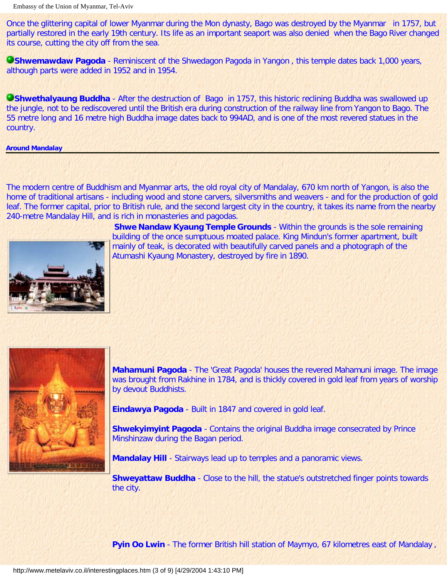Once the glittering capital of lower Myanmar during the Mon dynasty, Bago was destroyed by the Myanmar in 1757, but partially restored in the early 19th century. Its life as an important seaport was also denied when the Bago River changed its course, cutting the city off from the sea.

**CShwemawdaw Pagoda** - Reminiscent of the Shwedagon Pagoda in Yangon, this temple dates back 1,000 years, although parts were added in 1952 and in 1954.

**Shwethalyaung Buddha** - After the destruction of Bago in 1757, this historic reclining Buddha was swallowed up the jungle, not to be rediscovered until the British era during construction of the railway line from Yangon to Bago. The 55 metre long and 16 metre high Buddha image dates back to 994AD, and is one of the most revered statues in the country.

**Around Mandalay**

The modern centre of Buddhism and Myanmar arts, the old royal city of Mandalay, 670 km north of Yangon, is also the home of traditional artisans - including wood and stone carvers, silversmiths and weavers - and for the production of gold leaf. The former capital, prior to British rule, and the second largest city in the country, it takes its name from the nearby 240-metre Mandalay Hill, and is rich in monasteries and pagodas.



**Shwe Nandaw Kyaung Temple Grounds** - Within the grounds is the sole remaining building of the once sumptuous moated palace. King Mindun's former apartment, built mainly of teak, is decorated with beautifully carved panels and a photograph of the Atumashi Kyaung Monastery, destroyed by fire in 1890.



**Mahamuni Pagoda** - The 'Great Pagoda' houses the revered Mahamuni image. The image was brought from Rakhine in 1784, and is thickly covered in gold leaf from years of worship by devout Buddhists.

**Eindawya Pagoda** - Built in 1847 and covered in gold leaf.

**Shwekyimyint Pagoda** - Contains the original Buddha image consecrated by Prince Minshinzaw during the Bagan period.

**Mandalay Hill** - Stairways lead up to temples and a panoramic views.

**Shweyattaw Buddha** - Close to the hill, the statue's outstretched finger points towards the city.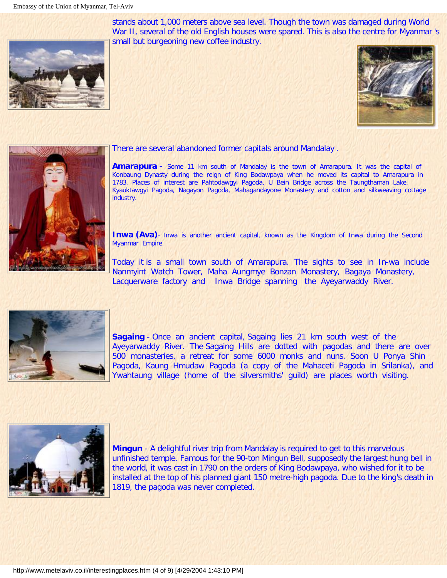stands about 1,000 meters above sea level. Though the town was damaged during World War II, several of the old English houses were spared. This is also the centre for Myanmar 's small but burgeoning new coffee industry.







#### There are several abandoned former capitals around Mandalay .

**Amarapura** - Some 11 km south of Mandalay is the town of Amarapura. It was the capital of Konbaung Dynasty during the reign of King Bodawpaya when he moved its capital to Amarapura in 1783. Places of interest are Pahtodawgyi Pagoda, U Bein Bridge across the Taungthaman Lake, Kyauktawgyi Pagoda, Nagayon Pagoda, Mahagandayone Monastery and cotton and silkweaving cottage industry.

**Inwa (Ava)**- Inwa is another ancient capital, known as the Kingdom of Inwa during the Second Myanmar Empire.

Today it is a small town south of Amarapura. The sights to see in In-wa include Nanmyint Watch Tower, Maha Aungmye Bonzan Monastery, Bagaya Monastery, Lacquerware factory and Inwa Bridge spanning the Ayeyarwaddy River.



**Sagaing** - Once an ancient capital, Sagaing lies 21 km south west of the Ayeyarwaddy River. The Sagaing Hills are dotted with pagodas and there are over 500 monasteries, a retreat for some 6000 monks and nuns. Soon U Ponya Shin Pagoda, Kaung Hmudaw Pagoda (a copy of the Mahaceti Pagoda in Srilanka), and Ywahtaung village (home of the silversmiths' guild) are places worth visiting.



**Mingun** - A delightful river trip from Mandalay is required to get to this marvelous unfinished temple. Famous for the 90-ton Mingun Bell, supposedly the largest hung bell in the world, it was cast in 1790 on the orders of King Bodawpaya, who wished for it to be installed at the top of his planned giant 150 metre-high pagoda. Due to the king's death in 1819, the pagoda was never completed.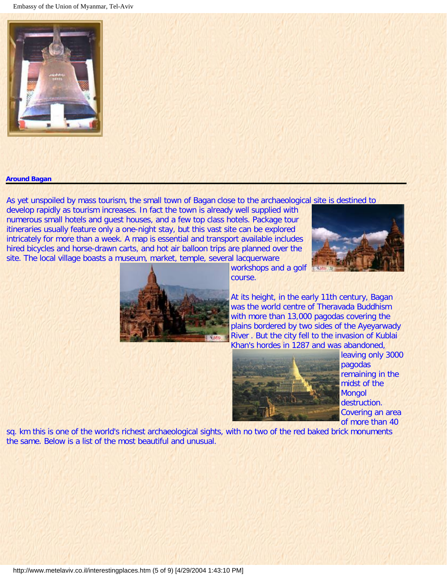

#### **Around Bagan**

As yet unspoiled by mass tourism, the small town of Bagan close to the archaeological site is destined to

develop rapidly as tourism increases. In fact the town is already well supplied with numerous small hotels and guest houses, and a few top class hotels. Package tour itineraries usually feature only a one-night stay, but this vast site can be explored intricately for more than a week. A map is essential and transport available includes hired bicycles and horse-drawn carts, and hot air balloon trips are planned over the site. The local village boasts a museum, market, temple, several lacquerware





workshops and a golf course.

At its height, in the early 11th century, Bagan was the world centre of Theravada Buddhism with more than 13,000 pagodas covering the plains bordered by two sides of the Ayeyarwady River . But the city fell to the invasion of Kublai Khan's hordes in 1287 and was abandoned,



leaving only 3000 pagodas remaining in the midst of the Mongol destruction. Covering an area of more than 40

sq. km this is one of the world's richest archaeological sights, with no two of the red baked brick monuments the same. Below is a list of the most beautiful and unusual.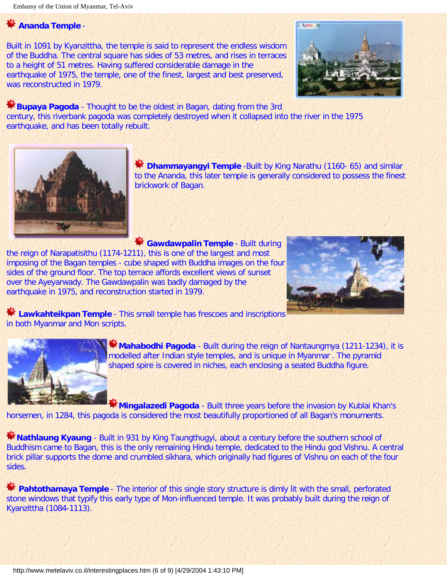# **Ananda Temple** -

Built in 1091 by Kyanzittha, the temple is said to represent the endless wisdom of the Buddha. The central square has sides of 53 metres, and rises in terraces to a height of 51 metres. Having suffered considerable damage in the earthquake of 1975, the temple, one of the finest, largest and best preserved, was reconstructed in 1979.



**Example 3 Pagoda** - Thought to be the oldest in Bagan, dating from the 3rd century, this riverbank pagoda was completely destroyed when it collapsed into the river in the 1975 earthquake, and has been totally rebuilt.



**Dhammayangyi Temple** -Built by King Narathu (1160- 65) and similar to the Ananda, this later temple is generally considered to possess the finest brickwork of Bagan.

**Gawdawpalin Temple** - Built during the reign of Narapatisithu (1174-1211), this is one of the largest and most imposing of the Bagan temples - cube shaped with Buddha images on the four sides of the ground floor. The top terrace affords excellent views of sunset over the Ayeyarwady. The Gawdawpalin was badly damaged by the earthquake in 1975, and reconstruction started in 1979.



**Lawkahteikpan Temple** - This small temple has frescoes and inscriptions in both Myanmar and Mon scripts.



**Mahabodhi Pagoda** - Built during the reign of Nantaungmya (1211-1234), it is modelled after Indian style temples, and is unique in Myanmar . The pyramid shaped spire is covered in niches, each enclosing a seated Buddha figure.

**Mingalazedi Pagoda** - Built three years before the invasion by Kublai Khan's horsemen, in 1284, this pagoda is considered the most beautifully proportioned of all Bagan's monuments.

**Nathlaung Kyaung** - Built in 931 by King Taungthugyi, about a century before the southern school of Buddhism came to Bagan, this is the only remaining Hindu temple, dedicated to the Hindu god Vishnu. A central brick pillar supports the dome and crumbled sikhara, which originally had figures of Vishnu on each of the four sides.

**Pahtothamaya Temple** - The interior of this single story structure is dimly lit with the small, perforated stone windows that typify this early type of Mon-influenced temple. It was probably built during the reign of Kyanzittha (1084-1113).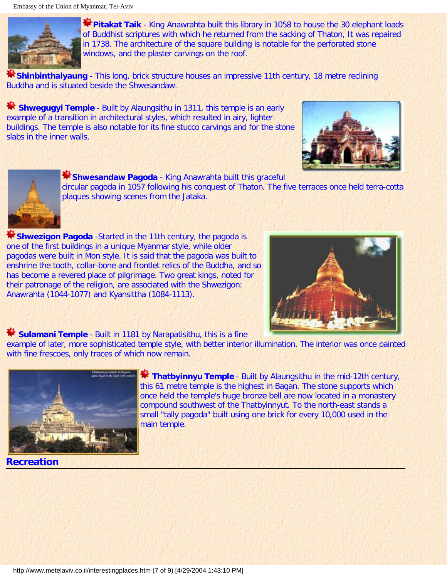

**Pitakat Taik** - King Anawrahta built this library in 1058 to house the 30 elephant loads of Buddhist scriptures with which he returned from the sacking of Thaton, It was repaired in 1738. The architecture of the square building is notable for the perforated stone windows, and the plaster carvings on the roof.

**Shinbinthalyaung** - This long, brick structure houses an impressive 11th century, 18 metre reclining Buddha and is situated beside the Shwesandaw.

**Shwegugyi Temple** - Built by Alaungsithu in 1311, this temple is an early example of a transition in architectural styles, which resulted in airy, lighter buildings. The temple is also notable for its fine stucco carvings and for the stone slabs in the inner walls.





**Shwesandaw Pagoda** - King Anawrahta built this graceful

circular pagoda in 1057 following his conquest of Thaton. The five terraces once held terra-cotta plaques showing scenes from the Jataka.

**K Shwezigon Pagoda** -Started in the 11th century, the pagoda is one of the first buildings in a unique Myanmar style, while older pagodas were built in Mon style. It is said that the pagoda was built to enshrine the tooth, collar-bone and frontlet relics of the Buddha, and so has become a revered place of pilgrimage. Two great kings, noted for their patronage of the religion, are associated with the Shwezigon: Anawrahta (1044-1077) and Kyansittha (1084-1113).



**Sulamani Temple** - Built in 1181 by Narapatisithu, this is a fine

example of later, more sophisticated temple style, with better interior illumination. The interior was once painted with fine frescoes, only traces of which now remain.



**Thatbyinnyu Temple** - Built by Alaungsithu in the mid-12th century, this 61 metre temple is the highest in Bagan. The stone supports which once held the temple's huge bronze bell are now located in a monastery compound southwest of the Thatbyinnyut. To the north-east stands a small "tally pagoda" built using one brick for every 10,000 used in the main temple.

**Recreation**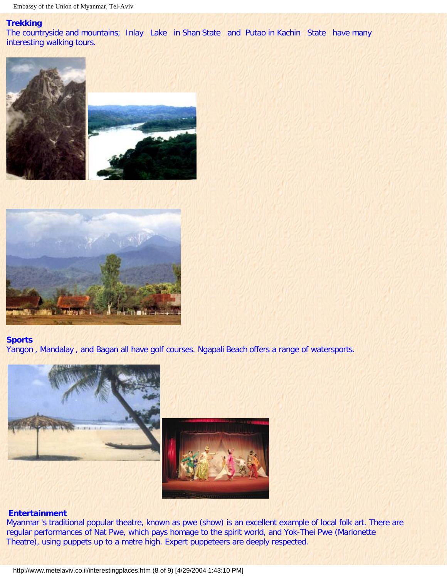#### **Trekking**

The countryside and mountains; Inlay Lake in Shan State and Putao in Kachin State have many interesting walking tours.





## **Sports**

Yangon , Mandalay , and Bagan all have golf courses. Ngapali Beach offers a range of watersports.



#### **Entertainment**

Myanmar 's traditional popular theatre, known as pwe (show) is an excellent example of local folk art. There are regular performances of Nat Pwe, which pays homage to the spirit world, and Yok-Thei Pwe (Marionette Theatre), using puppets up to a metre high. Expert puppeteers are deeply respected.